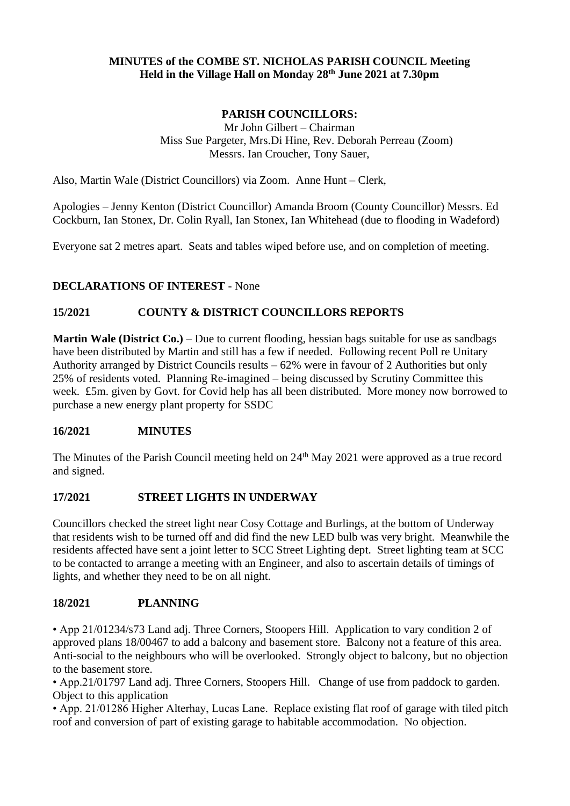### **MINUTES of the COMBE ST. NICHOLAS PARISH COUNCIL Meeting Held in the Village Hall on Monday 28 th June 2021 at 7.30pm**

# **PARISH COUNCILLORS:**

Mr John Gilbert – Chairman Miss Sue Pargeter, Mrs.Di Hine, Rev. Deborah Perreau (Zoom) Messrs. Ian Croucher, Tony Sauer,

Also, Martin Wale (District Councillors) via Zoom. Anne Hunt – Clerk,

Apologies – Jenny Kenton (District Councillor) Amanda Broom (County Councillor) Messrs. Ed Cockburn, Ian Stonex, Dr. Colin Ryall, Ian Stonex, Ian Whitehead (due to flooding in Wadeford)

Everyone sat 2 metres apart. Seats and tables wiped before use, and on completion of meeting.

## **DECLARATIONS OF INTEREST** - None

## **15/2021 COUNTY & DISTRICT COUNCILLORS REPORTS**

**Martin Wale (District Co.)** – Due to current flooding, hessian bags suitable for use as sandbags have been distributed by Martin and still has a few if needed. Following recent Poll re Unitary Authority arranged by District Councils results – 62% were in favour of 2 Authorities but only 25% of residents voted. Planning Re-imagined – being discussed by Scrutiny Committee this week. £5m. given by Govt. for Covid help has all been distributed. More money now borrowed to purchase a new energy plant property for SSDC

#### **16/2021 MINUTES**

The Minutes of the Parish Council meeting held on 24<sup>th</sup> May 2021 were approved as a true record and signed.

#### **17/2021 STREET LIGHTS IN UNDERWAY**

Councillors checked the street light near Cosy Cottage and Burlings, at the bottom of Underway that residents wish to be turned off and did find the new LED bulb was very bright. Meanwhile the residents affected have sent a joint letter to SCC Street Lighting dept. Street lighting team at SCC to be contacted to arrange a meeting with an Engineer, and also to ascertain details of timings of lights, and whether they need to be on all night.

#### **18/2021 PLANNING**

• App 21/01234/s73 Land adj. Three Corners, Stoopers Hill. Application to vary condition 2 of approved plans 18/00467 to add a balcony and basement store. Balcony not a feature of this area. Anti-social to the neighbours who will be overlooked. Strongly object to balcony, but no objection to the basement store.

• App.21/01797 Land adj. Three Corners, Stoopers Hill. Change of use from paddock to garden. Object to this application

• App. 21/01286 Higher Alterhay, Lucas Lane. Replace existing flat roof of garage with tiled pitch roof and conversion of part of existing garage to habitable accommodation. No objection.